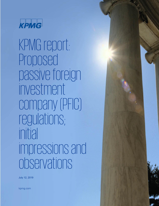

KPMG report: Proposed passive foreign investment company (PFIC) regulations; initial impressions and observations

July 12, 2019

kpmg.com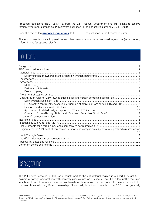Proposed regulations (REG-105474-18) from the U.S. Treasury Department and IRS relating to passive foreign investment companies (PFICs) were published in the Federal Register on July 11, 2019.

Read the text of the **[proposed regulations](https://www.govinfo.gov/content/pkg/FR-2019-07-11/pdf/2019-12030.pdf)** [PDF 515 KB] as published in the Federal Register.

This report provides initial impressions and observations about these proposed regulations (in this report, referred to as "proposed rules").

## **Contents**

| Look-through rules for 25% owned subsidiaries and certain domestic subsidiaries 10                        |  |
|-----------------------------------------------------------------------------------------------------------|--|
|                                                                                                           |  |
| FPHCI active rent/royalty exception: attribution of activities from certain LTS and LTP  12               |  |
|                                                                                                           |  |
|                                                                                                           |  |
|                                                                                                           |  |
|                                                                                                           |  |
|                                                                                                           |  |
|                                                                                                           |  |
|                                                                                                           |  |
| Eligibility for the 10% test of companies in runoff and companies subject to rating-related circumstances |  |
|                                                                                                           |  |
|                                                                                                           |  |
|                                                                                                           |  |
|                                                                                                           |  |
|                                                                                                           |  |

## <span id="page-1-0"></span>**Background**

The PFIC rules, enacted in 1986 as a counterpart to the anti-deferral regime in subpart F, target U.S. owners of foreign corporations with primarily passive income or assets. The PFIC rules, unlike the rules in subpart F, aim to remove the economic benefit of deferral with respect to all U.S. investors in a PFIC, not just those with significant ownership. Notoriously broad and complex, the PFIC rules generally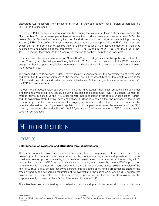discourage U.S. taxpayers from investing in PFICs—if they can identify that a foreign corporation is a PFIC in the first instance.

Generally, a PFIC is a foreign corporation that has, during the tax year, at least 75% passive income (the "Income Test") or an average percentage of assets that produce passive income of at least 50% (the "Asset Test"). Passive income is any income of a kind that would be foreign personal holding company income ("FPHCI") as defined in section 954(c), subject to certain exceptions in the PFIC rules. One such exception from the definition of passive income is income derived in the active conduct of an insurance business by a qualifying insurance corporation ("QIC"), as revised in the 2017 U.S. tax law (Pub. L. No. 115-97, enacted December 22, 2017, and often referred to as the "Tax Cuts and Jobs Act").

For many years, taxpayers have relied on Notice 88-22 for crucial guidance on the application of the PFIC rules. Treasury also issued proposed regulations in 2015 on the prior version of the PFIC insurance exception; those proposed regulations were never finalized and are withdrawn in connection with issuing the proposed rules.

The proposed rules (discussed in detail below) include guidance on: (1) the determination of ownership and attribution through partnerships; (2) the Income Test; (3) the Asset Test; (4) the look-through rule for 25%-owned corporations and certain domestic subsidiaries; (5) the change-of-business exception; and (6) the PFIC insurance exception.

Although the proposed rules address many lingering PFIC issues, they leave untouched certain other longstanding unresolved PFIC issues, including: (1) qualified electing fund ("QEF") guidance; (2) mark-tomarket regime guidance; (3) the PFIC stock transfer non-recognition override rule under section 1291(f); and (4) ownership attribution by reason of options. Further, it is notable that the proposed rules do not mention any potential coordination with the aggregate domestic partnership approach included in the recently released subpart F proposed regulations, which appear to increase the relevance of the PFIC rules by decreasing the availability of the PFIC/controlled foreign corporation ("CFC") overlap rule in certain circumstances.

## <span id="page-2-0"></span>PFIC proposed regulations

#### <span id="page-2-1"></span>General rules

#### <span id="page-2-2"></span>**Determination of ownership and attribution through partnership**

The statute generally provides ownership attribution rules that may apply to treat stock of a PFIC as owned by a U.S. person. Under one attribution rule, stock owned by a partnership, estate, or trust is considered owned proportionately by its partners or beneficiaries. Under another attribution rule, a U.S. person that owns a non-PFIC corporation is treated as owning stock owned by the non-PFIC in proportion to its ownership in the non-PFIC corporation only if the U.S. person owns at least 50% of the value of the non-PFIC. Thus, a U.S. person that owns a partnership is treated as owning a proportionate share of the stock owned by the partnership regardless of its ownership in the partnership, while a U.S. person that owns a non-PFIC corporation is treated as owning a proportionate share of the stock owned by the corporation only if it owns at least 50% of the value of the non-PFIC.

There has been some uncertainty as to whether the ownership attribution rules should be applied to a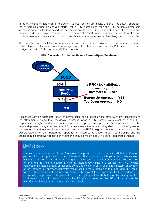tiered ownership structure on a "top-down" versus "bottom-up" basis. Under a "top-down" approach, the ownership attribution analysis starts with a U.S. person and then the U.S. person's ownership interest is sequentially determined for each successive lower-tier beginning at the upper-tier entities and proceeding down the ownership chain(s). Conversely, the "bottom-up" approach starts with a PFIC and attributes ownership of its stock upwards to each successive upper-tier until reaching the U.S. person(s).

The preamble notes that the two approaches can result in different ownership consequences when a partnership indirectly owns stock of a foreign corporation that is being tested for PFIC status (a "tested foreign corporation") through a non-PFIC corporation.



#### **PFIC Ownership Attribution Rules – Bottom-Up vs. Top-Down**

Consistent with an aggregate theory of partnerships, the proposed rules effectively limit application of the attribution rules to the "top-down" approach when a U.S. person owns stock of a non-PFIC corporation through a partnership. Accordingly, the proposed rules produce the same result as if the partnership were disregarded and the U.S. partners were treated as if they directly or indirectly owned the partnership's direct and indirect interests in the non-PFIC foreign corporation. It is notable that the explicit rejection of the "bottom-up" approach is limited to attribution through partnerships, and the proposed rules effectively reserve on whether it should similarly apply in a purely corporate structure.

## KPMG observation

The exclusive application of the "top-down" approach to the ownership attribution through partnerships is a significant and favorable result. This proposed rule is particularly relevant (and helpful) to private equity and asset management structures; in such structures it is fairly common for the fund to hold or acquire a majority interest (by value) in a top-tier non-PFIC holding corporation that itself directly or indirectly owns underlying PFICs. In such a fact pattern, application of the "bottom-up" approach generally would result in the attribution of the underlying PFIC stock to the U.S. investors in the fund, regardless of the size of their interest in the fund partnership. Conversely, the proposed rules generally would apply to preclude attribution of the underlying PFIC stock to any such U.S. investor provided the U.S. investor owns less than 50% of the value of the non-PFIC foreign corporation stock on a diluted basis.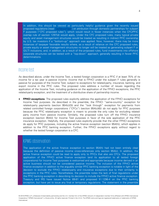In addition, this should be viewed as particularly helpful guidance given the recently issued proposed regulations [read [TaxNewsFlash](https://home.kpmg/us/en/home/insights/2019/06/tnf-final-regulations-gilti-ftc.html)] on attribution through domestic partnerships for subpart F purposes ("CFC proposed rules"), which would result in fewer instances when the CFC/PFIC overlap rule of section 1297(d) would apply. Under the CFC proposed rules, many typical private equity and asset management structures would be treated as resulting in indirect PFIC ownership by U.S. tax investors if a "bottom-up" approach was applied. Now, however, there may be more instances of taxpayer favorable results where, as a result of reliance on the CFC proposed rules, private equity or asset management structures no longer will be treated as generating subpart F or GILTI inclusions, and, in addition, as a result of the proposed rules, fund investments into offshore corporate structures can be tested with a "top-down" approach, generally resulting in fewer PFIC determinations.

#### <span id="page-4-0"></span>Income test

As described above, under the Income Test, a tested foreign corporation is a PFIC if at least 75% of its income for a tax year is passive income. Income that is FPHCI under the subpart F rules generally is passive for purposes of the Income Test, subject to exceptions for related-party, insurance, banking, and export income in the PFIC rules. The proposed rules address a number of issues regarding the application of the Income Test, including guidance on the application of the FPHCI exceptions, the PFIC related-party exception, and the treatment of a distributive share of partnership income.

• **FPHCI exceptions**. The proposed rules explicitly address the application of the FPHCI exceptions for Income Test purposes. As described in the preamble, the FPHCI "same-country" exception for related-party payments (section 954(c)(3)) and the "look through" exception for payments from related controlled foreign corporations ("CFCs") (section 954(c)(6)) do not apply for PFIC purposes because the PFIC related-party exception is meant to provide the only rules for excluding relatedparty income from passive income. Similarly, the proposed rules turn off the FPHCI insurance exception (section 954(i)) for Income Test purposes in favor of the sole application of the PFIC insurance exception. Helpfully, the proposed rules explicitly provide that the other FPHCI exceptions do apply for PFIC purposes, including the active finance exception (section 954(h)), which applies in addition to the PFIC banking exception. Further, the FPHCI exceptions apply without regard to whether the tested foreign corporation is a CFC.

### KPMG observation

The application of the active finance exception in section 954(h) had not been entirely clear because the definition of passive income cross-references only section 954(c). In addition, the active finance exception could be read to apply only to PFICs that also are CFCs. The proposed application of the FPHCI active finance exception (and its application to all tested foreign corporations) for Income Test purposes is welcomed and appropriate because income derived in an active business should not be considered passive income. The inclusion of the FPHCI active finance exception in addition to the arguably similar PFIC banking exception is notable in light of the decision to exclude the FPHCI related-party and insurance exceptions due to their similarity to exceptions in the PFIC rules. Nonetheless, the preamble notes the lack of final regulations under the PFIC banking exception in describing its decision to include the FPHCI active finance exception. Treasury and IRS have issued Notice 89-81 and proposed §1.1296-4 on the PFIC banking exception, but have yet to issue any final or temporary regulations. The statement in the preamble

<sup>© 2019</sup> KPMG LLP, a Delaware limited liability partnership and the U.S. member firm of the KPMG network of independent member firms affiliated with KPMG International Cooperative ("KPMG International"), a Swiss entity. All rights reserved. Printed in the U.S.A. The KPMG name and logo are registered trademarks or trademarks of KPMG International.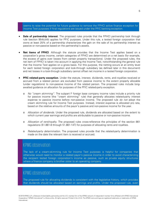seems to raise the potential for future guidance to remove the FPHCI active finance exception for Income Test purposes if final regulations are issued under the PFIC banking exception.

- **Sale of partnership interest**. The proposed rules provide that the FPHCI partnership look through rule (section 954(c)(4)) applies for PFIC purposes. Under this rule, a tested foreign corporation that owns at least 25% of a partnership characterizes the gain on the sale of its partnership interest as passive or non-passive based on the partnership's assets.
- **Net items of FPHCI**. Although the statute provides that the Income Test applies based on a corporation's gross income, certain categories of FPHCI are determined on a net basis (for example, the excess of gains over losses from certain property transactions). Under the proposed rules, the net item of FPHCI is taken into account in applying the Income Test, notwithstanding the general rule that the Income Test applies on a gross basis. For this purpose, the netting occurs at an entity level for each tested foreign corporation and look-through subsidiary (as defined later in this document) and net losses in a look-through subsidiary cannot offset net income in a tested foreign corporation.
- **PFIC related-party exception**. Under the statute, interest, dividends, rents, and royalties received or accrued from a related person are excluded from passive income to the extent properly allocable (under regulations) to non-passive income of the related person. The proposed rules include longawaited guidance on allocation for purposes of the PFIC related-party exception.
	- o No "cream skimming". The subpart F foreign base company income rules include a priority rule for passive income (the "cream skimming" rule) that generally allocates related-party interest expense to passive income before non-passive income. The proposed rule do not adopt the cream skimming rule for Income Test purposes. Instead, interest expense is allocated pro rata, based on the relative amounts of the payor's passive and non-passive income for the year.
	- o Allocation of dividends. Under the proposed rule, dividends are allocated based on the extent to which current year earnings and profits are attributable to passive or non-passive income.
	- o Allocation of rent/royalty. The proposed rules cross-reference the principles of the section 861 regulations (§1.861-8 through §1.861-14T) for purposes of allocating rents and royalties.
	- o Related-party determination. The proposed rules provide that the related-party determination is made on the date the relevant item is received or accrued.

### KPMG observation

The lack of a cream-skimming rule for Income Test purposes is helpful for companies that otherwise would need to monitor a related payor's passive income in order to avoid characterizing the recipient tested foreign corporation's income as passive, such as private equity structures where a finance company is brother sister to an operating company.

## KPMG observation

The proposed rule for allocating dividends is consistent with the legislative history, which provides that dividends should be allocated based on earnings and profits. Under the proposed rule, even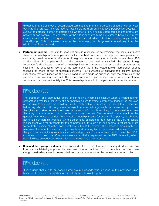dividends that are paid out of accumulated earnings and profits are allocated based on current year earnings and profits. This rule seems reasonable from an administrative perspective because it avoids the potential burden of determining whether a PFIC's accumulated earnings and profits are passive or non-passive. The application of the rule is expected to be quite limited because, in most cases, a dividend that would qualify for the related-party dividend rule also would be subject to the Look-Through Rule (discussed later in the document), which generally would result in the elimination of the dividend.

**Partnership income.** The statute does not provide quidance for determining whether a distributive share of partnership income is passive for Income Test purposes. The proposed rules provide two standards, based on whether the tested foreign corporation directly or indirectly owns at least 25% of the value of the partnership. If the ownership threshold is satisfied, the tested foreign corporation's distributive share of partnership income is characterized as passive or non-passive based on the underlying income of the partnership (as if the tested foreign corporation directly received its share of the partnership's income). For purposes of applying the passive income exceptions that are based on the active conduct of a trade or business, only the activities of the partnership are taken into account. The distributive share of partnership income for a tested foreign corporation that does not satisfy the 25% ownership threshold in the partnership is per se passive.

#### KPMG observation

The treatment of a distributive share of partnership income as passive when a tested foreign corporation owns less than 25% of a partnership is sure to attract comments. Indeed, the inclusion of this rule (along with the corollary rule for partnership interests in the asset test, discussed below) arguably turns this regulatory package from one that is generally "taxpayer-friendly" to one that gives and takes, as many will see the inclusion of this rule resulting in more passive income than they may have understood to be the case under prior law. The proposed rule departs from the general treatment of a distributive share of partnership income for subpart F purposes, which does not have an ownership threshold. On the other hand, as noted in the preamble, the 25% threshold is consistent with the threshold for the corporate look through rule, and seems to reflect an intent to neutralize choice of entity considerations in the PFIC context; this threshold presumably will neutralize the benefit of a common joint venture structuring technique where parties elect to treat the joint venture holding vehicle as a partnership to avoid passive treatment of less than 25% corporate stock positions. Comments were specifically requested on the 25% threshold, which could indicate an openness to consider lower thresholds or no thresholds.

• **Consolidated group dividends**. The proposed rules provide that intercompany dividends received from a consolidated group member are taken into account for PFIC income test purposes, even though the dividends would be excluded from gross income under the consolidated return rules.

#### KPMG observation

<span id="page-6-0"></span>It is curious that a rule on consolidated group dividends was included in the proposed rules because of the very limited situations in which the rule would apply.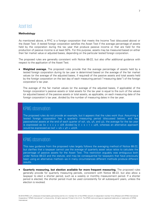

#### <span id="page-7-0"></span>**Methodology**

As mentioned above, a PFIC is a foreign corporation that meets the Income Test (discussed above) or the Asset Test. A tested foreign corporation satisfies the Asset Test if the average percentage of assets held by the corporation during the tax year that produce passive income or that are held for the production of passive income is at least 50%. For this purpose, assets may be measured based on either their fair market value or adjusted bases, depending on the particular tested foreign corporation.

The proposed rules are generally consistent with Notice 88-22, but also offer additional guidance with respect to the application of the Asset Test.

• **Weighted average.** The proposed rules provide that the average percentage of assets held by a tested foreign corporation during its tax year is determined based on the average of the fair market values (or the average of the adjusted bases, if required) of the passive assets and total assets held by the foreign corporation on the last day of each measuring period ("measuring date") of the foreign corporation's tax year.

The average of the fair market values (or the average of the adjusted bases, if applicable) of the foreign corporation's passive assets or total assets for the tax year is equal to the sum of the values (or adjusted bases) of the passive assets or total assets, as applicable, on each measuring date of the foreign corporation's tax year, divided by the number of measuring dates in the tax year.

#### KPMG observation

The proposed rules do not provide an example, but it appears that the rules work thus: Assuming a tested foreign corporation has a quarterly measuring period (discussed below), and has passive/total assets at the end of each quarter of w/r, x/s, y/t, and u/z, the average for the tax year is expressed as  $(w + x + y + z)/4$  divided by  $(r + s + t + u)/4$ , whereas an alternative approach would be expressed as  $(w/r + x/s + y/t + u/z)/4$ .

## KPMG observation

This new guidance from the proposed rules largely follows the averaging method of Notice 88-22, but clarifies that a taxpayer cannot use the average of quarterly asset value ratios to calculate the percentage of passive assets for the Asset Test. This restriction arguably was ambiguous both under Notice 88-22 and the statute, and may be consequential for taxpayers that have previously been using an alternative method—as in many circumstances different methods produce different results.

• **Quarterly measuring, but election available for more frequent measuring.** The proposed rules generally provide for quarterly measuring periods, consistent with Notice 88-22, but also allow a taxpayer to elect a shorter period, such as a weekly or monthly measurement period. If a shorter period is elected, the shorter period must be used consistently for all subsequent years, unless the election is revoked.

<sup>© 2019</sup> KPMG LLP, a Delaware limited liability partnership and the U.S. member firm of the KPMG network of independent member firms affiliated with KPMG International Cooperative ("KPMG International"), a Swiss entity. All rights reserved. Printed in the U.S.A. The KPMG name and logo are registered trademarks or trademarks of KPMG International.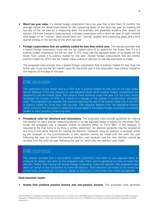- **Short tax year rules.** If a tested foreign corporation has a tax year that is less than 12 months, the average values are determined based on the measuring dates of the short tax year by treating the last day of the tax year as a measuring date. For example, the preamble explains that, absent an election for more frequent measurement, a foreign corporation with a short tax year of eight months (that began on its "normal" date) would have two "normal" quarter end measuring dates and a third quarter ending on the last day of the short tax year.
- **Foreign corporations that are publicly traded for less than entire year.** The statute provides that a tested foreign corporation must use the fair market value of its assets for the Asset Test if it is a publicly traded corporation for the tax year. A CFC must use the adjusted bases of its assets for the Asset Test, unless it is publicly traded for the year. Tested foreign corporations that are neither publicly traded nor CFCs use fair market value unless an election to use adjusted basis is made.

The proposed rules provide that a tested foreign corporation that is publicly traded for less than the entire year must use the fair market value for the entire year if the corporation was publicly traded on the majority of the days of the year.

## KPMG observation

The application of the Asset Test to a CFC that is publicly traded for only part of the year raises issues because CFCs are required to use adjusted basis while publicly traded corporations are required to use fair market value. This issue is more common under the new U.S. tax rules, which increased the number of CFCs as a result of a change to the subpart F constructive ownership rules. The proposed rule resolves the issue by requiring the use of fair market value only if the CFC is publicly traded for more than half the year. This arguably departs from the legislative history, which indicates that the publicly traded rule should apply if the tested foreign corporation is publicly traded on each quarterly measuring date.

**Procedural rules for elections and revocations.** The proposed rules provide guidance for making the election to use a shorter measuring period or to use adjusted bases of assets for the Asset Test. Under the proposed rule, a taxpayer makes an election either on Form 8621 (if the taxpayer is required to file that form) or by filing a written statement. An election generally may be revoked at any time in the same manner for making the election. However, once an election is revoked, either by the taxpayer or the Commissioner, a new election cannot be made until the sixth tax year following the year for which the previous election was revoked, and the new election cannot be revoked until the sixth tax year following the year for which the new election was made.

#### KPMG observation

The statute provides that a non-publicly traded corporation may elect to use adjusted basis to measure its assets, but prior to the proposed rules there was no guidance no how to make the election. Rather than having the tested foreign corporation make the election, the proposed rules allow an owner of the corporation to make the election. Both elections are made on an owner by owner basis, and although not explicit, appear to apply only to the owner that makes the election.

#### **Dual-character assets**

• **Assets that produce passive income and non-passive income.** The proposed rules generally

8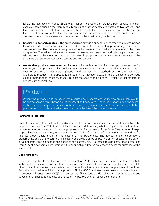follow the approach of Notice 88-22 with respect to assets that produce both passive and nonpassive income during a tax year, generally providing that the assets are treated as two assets – one that is passive and one that is non-passive. The fair market value (or adjusted basis) of the asset is then allocated between the hypothetical passive and non-passive assets based on the ratio of passive income to non-passive income produced by the asset during the tax year.

- **Special rule for certain stock.** The proposed rules provide a special rule for stock of a related person for which no dividends are received or accrued during the tax year, but that previously generated nonpassive income. The stock is similarly treated as two assets, one of which is passive and the other non-passive. The value is allocated between the two assets based on the dividends paid or accrued with respect to the stock for the two prior years, in proportion to the average percentages of the dividends that are characterized as passive and non-passive.
- **Assets that produce income and no income.** When only a portion of an asset produces income for the tax year, the proposed rules similarly treat the asset as two assets – one that is passive or nonpassive based on the income that it produces and one that is characterized based on the income that it is held to produce. The proposed rules require the allocation between the two assets to be made using a method that "most reasonably reflects the uses of the property," which for real property is generally its physical use.

### KPMG observation

Absent the proposed rule, an asset that produces both income and no income presumably would be characterized entirely based on the income that it generates. Under the proposed rule, the asset is characterized partly in accordance with the income it generates and partly in accordance with the purpose for which it is held, which seems more reflective of the true economics.

#### <span id="page-9-0"></span>**Partnership interests**

As is the case with the treatment of a distributive share of partnership income for the Income Test, the proposed rules apply a 25% threshold for purposes of determining whether a partnership interest is a passive or non-passive asset. Under the proposed rule, for purposes of the Asset Test, a tested foreign corporation that owns (directly or indirectly) at least 25% of the value of a partnership is treated as if it held its proportionate share of the assets of the partnership. The tested foreign corporation's proportionate share of the partnership's asset generally is treated as passive or non-passive to the extent it was characterized as such in the hands of the partnership. If a tested foreign corporation owns less than 25% of a partnership, its interest in the partnership is treated as a passive asset for purposes of the Asset Test.

#### <span id="page-9-1"></span>**Dealer property**

Under the exception for dealer property in section 954(c)(2)(C), gain from the disposition of property held in the dealer's trade or business is treated as non-passive income for purposes of the Income Test, while other types of income (such as dividends and interest) are treated as passive. For purposes of the Asset Test, the proposed rules follow the approach of Notice 88-22, and treat dealer assets that are subject to the exception in section 954(c)(2)(C) as non-passive. This means the dual-character asset rules discussed above are not applied to bifurcate such assets into passive and non-passive components.

<sup>© 2019</sup> KPMG LLP, a Delaware limited liability partnership and the U.S. member firm of the KPMG network of independent member firms affiliated with KPMG International Cooperative ("KPMG International"), a Swiss entity. All rights reserved. Printed in the U.S.A. The KPMG name and logo are registered trademarks or trademarks of KPMG International.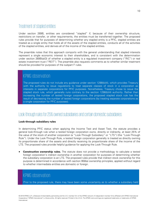## <span id="page-10-0"></span>Treatment of stapled entities

Under section 269B, entities are considered "stapled" if, because of their ownership structure, restrictions on transfer, or other requirements, the entities must be transferred together. The proposed rules provide that for purposes of determining whether any stapled entity is a PFIC, stapled entities are treated as a single entity that holds all of the assets of the stapled entities, conducts all of the activities of the stapled entities, and derives all of the income of the stapled entities.

The preamble notes that this approach comports with the general understanding that stapled interests represent a single economic interest to their shareholders, and is consistent with the determination under section 269B(a)(3) of whether a stapled entity is a regulated investment company ("RIC") or real estate investment trust ("REIT"). The preamble also requests comments as to whether similar treatment should be provided for purposes of the subpart F rules.

#### KPMG observation

The proposed rules do not include any guidance under section 1298(b)(4), which provides Treasury with the authority to issue regulations to treat separate classes of stock in a corporation as interests in separate corporations for PFIC purposes. Nonetheless, Treasury chose to issue the stapled stock rule, which generally runs contrary to the section 1298(b)(4) authority. Rather than increasing the number of tested foreign corporations, the proposed stapled stock rule has the result of decreasing the number of tested foreign corporations (by treating separate corporations as a single corporation for PFIC purposes).

#### <span id="page-10-1"></span>Look-through rules for 25% owned subsidiaries and certain domestic subsidiaries

#### <span id="page-10-2"></span>**Look-through subsidiary rules**

In determining PFIC status when applying the Income Test and Asset Test, the statute provides a general look-through rule when a tested foreign corporation owns, directly or indirectly, at least 25% of the value of the stock of another corporation (a "Look-Through Subsidiary" or "LTS") (the "Look-Through Rule"). Under the Look-Through Rule, a tested foreign corporation generally is treated as directly owning its proportionate share of the assets and directly receiving its proportionate share of the income of the LTS. The proposed rules provide helpful guidance for applying the Look-Through Rule.

• **Constructive ownership rules.** The statute does not provide a methodology to calculate a tested foreign corporation's indirect ownership in another corporation for purposes of determining whether the subsidiary corporation is an LTS. The proposed rules provide that indirect stock ownership for this purpose is determined in accordance with section 958(a) ownership principles, applied without regard to whether intermediate entities are domestic or foreign.

## KPMG observation

Prior to the proposed rule, there may have been some uncertainty as to whether a subsidiary held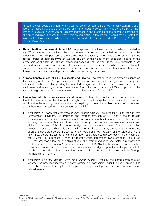through a chain could be an LTS when a tested foreign corporation did not indirectly own 25% of a lower-tier subsidiary, but did own 25% of an intermediate corporation that owned 25% of the lower-tier subsidiary. Although not directly addressed in the preamble or the operative sections of the proposed rules, it seems the tested foreign corporation in the structure would not be treated as owning the lower-tier subsidiary under the proposed rules, as reflected in Prop. Reg. §1.1297- 2(b)(3), Example 1.

- **Determination of ownership in an LTS.** For purposes of the Asset Test, a subsidiary is treated as an LTS for a measuring period if the 25% ownership threshold is satisfied on the last day of the measuring period. For purposes of the Income Test, a subsidiary generally is treated as an LTS if the tested foreign corporation owns an average of 25% of the value of the subsidiary, based on the ownership on the last day of each measuring period during the year. If the 25% threshold is not satisfied, a special rule can apply in certain cases that would treat the subsidiary as an LTS for only some of the periods during the year. These rules are meant to address situations in which a tested foreign corporation's ownership in a subsidiary varies during the tax year.
- **"Proportionate share" of an LTS's assets and income.** The statute does not provide guidance on the meaning of the term "proportionate share" for purposes of the Look-Through Rule. The proposed rules address this issue by providing that a tested foreign corporation is treated as owning a share of each asset and receiving a proportionate share of each item of income of a LTS in proportion to the tested foreign corporation's percentage ownership interest by value in the LTS.
- **Elimination of intercompany assets and income.** Notwithstanding that the legislative history to the PFIC rules provides that the Look-Through Rule should be applied in a manner that does not result in double-counting, the statute does not explicitly address the double-counting of income and assets between a tested foreign corporation and an LTS.
	- o Elimination of dividends and interest (and related assets). The proposed rules provide that intercompany payments of dividends and interest between an LTS and a tested foreign corporation (and the corresponding stock and loan receivables) generally are eliminated in applying the Income Test and Asset Test. Similarly, intercompany payments of interest and dividends between LTSs of a tested foreign corporation are eliminated. The proposed rules, however, provide that dividends are not eliminated to the extent they are attributable to income of an LTS generated before the tested foreign corporation owned 25% of the value of the LTS (and, thus, before the tested foreign corporation was treated as directly receiving the income of the LTS for PFIC purposes). Further, if a tested foreign corporation owns less than 100% of an LTS, the proposed rules limit the elimination of the interest and debt receivables in proportion to the tested foreign corporation's direct ownership in the LTS. Similar elimination treatment applies to certain intercompany transactions between a tested foreign corporation and a partnership in which the tested foreign corporation owns at least 25% of the value ("Look-Through Partnership" or "LTP").
	- o Elimination of other income items (and related assets). Treasury requested comments on whether the proposed income and asset elimination mechanism under the Look-Through Rule should be expanded to apply to rents, royalties, or any other types of intercompany income (and related assets).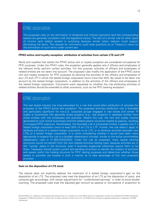## KPMG observation

The proposed rules on the elimination of dividends and interest payments (and the corresponding assets) are generally consistent with the legislative history. The lack of a similar rule for other types of income (and related assets) is surprising because similar policy reasons could support eliminating the items. The request for comments could raise questions as to Treasury's views on the elimination of such items under current law.

#### <span id="page-12-0"></span>**FPHCI active rent/royalty exception: attribution of activities from certain LTS and LTP**

Rents and royalties that satisfy the FPHCI active rent or royalty exception are considered non-passive for PFIC purposes. Under the FPHCI rules, the exception generally applies only if officers and employees of the relevant entity perform certain activities. For this purpose, activities of officers and employees of related entities are not taken into account. The proposed rules modify the application of the FPHCI active rent and royalty exception for PFIC purposes by allowing the activities of the officers and employees of any LTS and LTP in which the tested foreign corporation owns more than 50% (by value) to be taken into account by the tested foreign corporation, in addition to the activities of the officers and employees of the tested foreign corporation. Comments were requested on whether the rule attributing activities of related entities should be extended to other provisions, such as the PFIC banking exception.

#### KPMG observation

The real estate industry has long advocated for a rule that would allow attribution of activities for purposes of the FPHCI active rent exception. The proposed activities attribution rule is favorable and particularly significant for non-U.S. corporate groups engaged in real estate and certain IP trades or businesses that generally locate property (e.g., real property) in separate entities from those entities with the employees and activities. Absent this rule, the rent and royalty income generated by such active businesses (and the related assets) would be treated as passive, resulting in increased PFIC exposure. Nonetheless, the favorable rule is somewhat limited; it applies only if a tested foreign corporation owns at least 50% of an LTS or LTP. Further, the rule doesn't apply to attribute activities of a tested foreign corporation to an LTS, or to attribute activities between two LTSs of a tested foreign corporation. It is worth considering whether it would have been more appropriate to expand the rule to a broader related-party concept, similar to the active commodities related-party rules in §1.952-2(f)(2)(iii)(D). Under the rule as proposed, many typical existing structures would not benefit from the new relaxed activities testing rules, because activities are in the "wrong" place in the structure, even if business exigencies otherwise require them to be there. Taxpayers should review current and pending structures to identify the location of activities and assets within the holding structure for PFIC testing purposes and determine whether those assets or activities are located in such a manner as to take advantage of this new proposed provision.

#### <span id="page-12-1"></span>**Gain on the disposition of LTS stock**

The statute does not explicitly address the treatment of a tested foreign corporation's gain on the disposition of an LTS. The proposed rules treat the disposition of an LTS as the disposition of stock, and compute gain accordingly, with certain adjustments for "undistributed earnings" in order to avoid doublecounting. The proposed rules treat the adjusted gain amount as passive or non-passive in proportion to

<sup>© 2019</sup> KPMG LLP, a Delaware limited liability partnership and the U.S. member firm of the KPMG network of independent member firms affiliated with KPMG International Cooperative ("KPMG International"), a Swiss entity. All rights reserved. Printed in the U.S.A. The KPMG name and logo are registered trademarks or trademarks of KPMG International.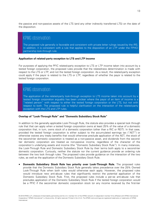the passive and non-passive assets of the LTS (and any other indirectly transferred LTS) on the date of the disposition.

## KPMG observation

The proposed rule generally is favorable and consistent with private letter rulings issued by the IRS. In addition, it is consistent with a rule that applies to the disposition of an LTP under the FPHCI partnership look-through rule.

#### <span id="page-13-0"></span>**Application of related-party exception to LTS and LTP income**

For purposes of applying the PFIC related-party exception to LTS or LTP income taken into account by a tested foreign corporation, the proposed rules provide that the relatedness determination is made with respect to the LTS or LTP, and not the tested foreign corporation. As a result, the related-party exception could apply if the payor is related to the LTS or LTP, regardless of whether the payor is related to the tested foreign corporation.

#### KPMG observation

The application of the related-party look-through exception to LTS income taken into account by a tested foreign corporation arguably has been unclear where the payor of an item of income is a "related person" with respect to either the tested foreign corporation or the LTS, but not with respect to both. The proposed rule is helpful clarification on the interaction of the related-party exception with the LTS and LTP rules.

#### <span id="page-13-1"></span>**Overlap of "Look-Through Rule" and "Domestic Subsidiary Stock Rule"**

In addition to the generally applicable Look-Through Rule, the statute also provides a special look through rule that that can apply when a tested foreign corporation owns at least 25% of the value of a domestic corporation that, in turn, owns stock of a domestic corporation (other than a RIC or REIT). In that case, provided the tested foreign corporation is either subject to the accumulated earnings tax ("AET") or otherwise waives any treaty benefits that would otherwise preclude application of the AET, the stock of the second-tier domestic corporation is treated as a non-passive asset, and dividends from the secondtier domestic corporation are treated as non-passive income, regardless of the character of the corporation's underlying assets and income (the "Domestic Subsidiary Stock Rule"). In many instances, the Look-Through Rule and Domestic Subsidiary Stock Rule by their terms both apply to a second-tier domestic corporation. Curiously, neither the statute nor the current guidance provide an ordering rule between the two look through rules. The proposed rules provide guidance on the interaction of the two rules, as well as the application of the Domestic Subsidiary Stock Rule.

• **Domestic Subsidiary Stock Rule has priority over Look-Through Rule.** The proposed rules provide that the Domestic Subsidiary Stock Rule generally takes precedence over the 25% Owned Look-Through Rule when both rules would otherwise each apply. However, the proposed rules would introduce new anti-abuse rules that significantly restrict the potential application of the Domestic Subsidiary Stock Rule. First, the proposed rules include a per-se anti-abuse rule that precludes application of the Domestic Subsidiary Stock Rule if the tested foreign corporation would be a PFIC if the second-tier domestic corporation stock (or any income received by the first-tier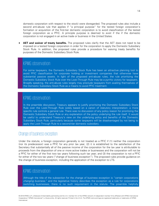domestic corporation with respect to the stock) were disregarded. The proposed rules also include a second anti-abuse rule that applies if "a principal purpose" for the tested foreign corporation's formation or acquisition of the first-tier domestic corporation is to avoid classification of the tested foreign corporation as a PFIC. A principle purpose is deemed to exist if the if the domestic corporation is not engaged in an active trade or business in the United States.

• **AET and waiver of treaty benefits.** The proposed rules clarify that the AET does not need to be imposed on a tested foreign corporation in order for the corporation to apply the Domestic Subsidiary Stock Rule. In addition, the proposed rules provide a procedure for waiving treaty benefits for purposes of the Domestic Subsidiary Stock Rule.

#### KPMG observation

For some taxpayers, the Domestic Subsidiary Stock Rule has been an attractive planning tool to avoid PFIC classification for corporate holding or investment companies that otherwise have substantial passive assets. In light of the proposed anti-abuse rules, the rule prioritizing the Domestic Subsidiary Stock Rule over the Look-Through Rule may be a pyrrhic victory for taxpayers. Broadly speaking, the anti-abuse rules largely may preclude taxpayers from availing themselves of the Domestic Subsidiary Stock Rule as a means to avoid PFIC treatment.

#### KPMG observation

In the preamble discussion, Treasury appears to justify prioritizing the Domestic Subsidiary Stock Rule over the Look-Through Rule solely based on a canon of statutory interpretation: a more specific rule controls a general rule. There was no discussion of any policy reason for prioritizing the Domestic Subsidiary Stock Rule or any explanation of the policy underlying the rule itself. It would be useful to understand Treasury's view on the underlying policy and benefits of the Domestic Subsidiary Stock Rule, particularly because some taxpayers will be disadvantaged by not being to apply the Look-Through Rule to a second-tier domestic subsidiary.

#### <span id="page-14-0"></span>Change of business exception

Under the statute, a foreign corporation generally is not treated as a PFIC if (1) neither the corporation (nor its predecessor) was a PFIC for any prior tax year, (2) it is established to the satisfaction of the Secretary that substantially all of the passive income of the corporation for the tax year is attributable to proceeds from the disposition of one or more active trades or businesses and the corporation will not be a PFIC for either of the first two tax years following such tax year; and (3) the corporation is not a PFIC for either of the two tax years ("change of business exception"). The proposed rules provide guidance on the change of business exception, including the application of the exception to LTS.

## KPMG observation

Although the title of the subsection for the change of business exception is "certain corporations changing business," and the legislative history describes the exception as a rule for corporations switching businesses, there is no such requirement in the statute. The preamble helpfully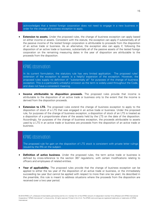acknowledges that a tested foreign corporation does not need to engage in a new business in order for the change of business exception to apply.

**Extension to assets.** Under the proposed rules, the change of business exception can apply based on either income or assets. Consistent with the statute, the exception can apply if substantially all of the passive income of the tested foreign corporation is attributable to proceeds from the disposition of an active trade or business. As an alternative, the exception also can apply if, following the disposition of an active trade or business, substantially all of the passive assets of the tested foreign corporation on the remaining measuring dates in the year of disposition are attributable to the proceeds from the disposition.

### KPMG observation

In its current formulation, the statutory rule has very limited application. The proposed rules' extension of the exception to assets is a helpful expansion of the exception. However, the proposed rules supply no definition of "substantially all" for purposes of the change of business exception. This is a particularly unhelpful omission as the term is widely-used throughout the Code, and does not have a consistent meaning.

- **Income attributable to disposition proceeds.** The proposed rules provide that income is attributable to the disposition of an active trade or business only to the extent that the income is derived from the disposition proceeds.
- **Extension to LTS.** The proposed rules extend the change of business exception to apply to the disposition of stock of a LTS that was engaged in an active trade or business. Under the proposed rule, for purposes of the change of business exception, a disposition of stock of an LTS is treated as a disposition of a proportionate share of the assets held by the LTS on the date of the disposition. Accordingly, for purposes of the change of business exception, the proceeds attributable to assets used by a LTS in an active trade or business are proceeds from the disposition of an active trade or business.

#### KPMG observation

The proposed rule for gain on the disposition of LTS stock is consistent with private letter rulings issued by the IRS on the subject.

- **Definition of active business**. Under the proposed rules, the term active trade or business is defined by cross-reference to the section 367 regulations, with certain modifications relating to officers and employees of related entities.
- **Year of applicability.** The proposed rules provide that the change of business exception can be applied to either the tax year of the disposition of an active trade or business, or the immediately succeeding tax year (but cannot be applied with respect to more than one tax year). As described in the preamble, this rule is meant to address situations where the proceeds from the disposition are received over a two year period.

<sup>© 2019</sup> KPMG LLP, a Delaware limited liability partnership and the U.S. member firm of the KPMG network of independent member firms affiliated with KPMG International Cooperative ("KPMG International"), a Swiss entity. All rights reserved. Printed in the U.S.A. The KPMG name and logo are registered trademarks or trademarks of KPMG International.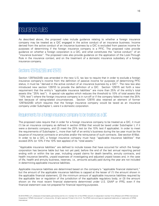## <span id="page-16-0"></span>Insurance rules

As described above, the proposed rules include guidance relating to whether a foreign insurance company may be treated as a QIC engaged in the active conduct of an insurance business. Income derived from the active conduct of an insurance business by a QIC is excluded from passive income for purposes of determining if the foreign insurance company is a PFIC. The proposed rules provide guidance on whether a foreign corporation is a QIC, and what constitutes the "active conduct" of an "insurance business". The proposed rules also provide guidance on the application of the Look-Through Rule in the insurance context, and on the treatment of a domestic insurance subsidiary of a foreign insurance company.

## <span id="page-16-1"></span>Sections 1297(b)(2)(B) and 1297(f)

Section 1297(b)(2)(B) was amended in the new U.S. tax law to require that in order to exclude a foreign insurance company's income from the definition of passive income for purposes of determining PFIC status, it must be "derived in the active conduct of an insurance business by a QIC". The new law also introduced new section 1297(f) to provide the definition of a QIC. Section 1297(f) set forth a new requirement that the entity's "applicable insurance liabilities" are more than 25% of the entity's total assets (the "25% test"). A special rule applies which reduces the threshold to 10% of total assets (the "10% test") where the foreign insurance company is in run-off or if the company failed to meet the 25% test because of rating-related circumstances. Section 1297(f) also retained an element of former 1297(b)(2)(B) which requires that the foreign insurance company would be taxed as an insurance company under Subchapter L were it a domestic corporation.

#### <span id="page-16-2"></span>Requirements for a foreign insurance company to be treated as a QIC

The proposed rules require that in order for a foreign insurance company to be treated as a QIC, it must (1) be an insurance company as defined in section 816(a) that would be taxed under Subchapter L if it were a domestic company, and (2) meet the 25% test (or the 10% test if applicable). In order to meet the requirements of Subchapter L, more than half of an entity's business during the tax year must be the issuance of insurance contracts or annuities and/or the reinsurance of such contracts. See section 816(a). In order to be a QIC, a foreign insurance company must have "applicable insurance liabilities" that exceed 25% (or 10% if the 10% test applies) of its "total assets."

"Applicable insurance liabilities" are defined to include losses that have occurred for which the foreign corporation has become liable but has not yet paid, before the end of the last annual reporting period ending with or within the tax year, including unpaid claims for death benefits, annuity contracts, and health insurance benefits, unpaid expenses of investigating and adjusted unpaid losses and, in the case of life, health and annuity business, reserves, i.e., amounts actually paid during the year are not included in determining applicable insurance liabilities.

Applicable insurance liabilities are determined based on the company's "applicable financial statement," but the amount of the applicable insurance liabilities is capped at the lesser of (1) the amount shown in the applicable financial statement, (2) the minimum amount of applicable insurance liabilities required by the applicable law or regulation of the jurisdiction of the applicable regulatory body; or (3) the amount shown on the most recent financial statements determined under U.S. GAAP or IFRS, even if the financial statement was not prepared for financial reporting purposes.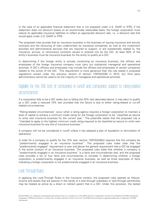In the case of an applicable financial statement that is not prepared under U.S. GAAP or IFRS, if the statement does not discount losses on an economically reasonable basis, the foreign corporation must reduce its applicable insurance liabilities to reflect an appropriate discount rate, i.e., a discount rate that would apply under U.S. GAAP or IFRS.

The proposed rules provide that an insurance business is the business of issuing insurance and annuity contracts and the reinsuring of risks underwritten by insurance companies, as well as the investment activities and administrative services that are required to support, or are substantially related to, the insurance, annuity, or reinsurance contracts issued or entered into by the QIC. At least 50% of the entity's business must be insurance business for the entity to qualify as a QIC.

In determining if the foreign entity is actively conducting an insurance business, the officers and employees of the foreign insurance company must carry out substantial managerial and operational activities. A QIC's officers and employees may include the officers and employees of certain companies related to the owner of the QIC. This requirement is more generous than the rule stated in proposed regulations issued under the previous version of section 1297(b)(2)(B) in 2015, but third party administrators cannot be used to do the majority of managerial and operational activities.

## <span id="page-17-0"></span>Eligibility for the 10% test of companies in runoff and companies subject to rating-related circumstances

If a corporation fails to be a QIC solely due to failing the 25% test described above, it may elect to qualify as a QIC under a reduced 10% test provided that the failure is due to either rating-related or run-off related circumstances.

"Rating-related circumstances" occur when a rating agency requires a foreign corporation to maintain a level of capital to achieve a minimum credit rating for the foreign corporation to be "classified as secure to write new insurance business for the current year." The preamble states that the proposed rule is "intended to apply to the highest minimum credit rating required to be classified as secure to write new insurance business for any line of insurance business."

A company will not be considered in runoff unless it has adopted a plan of liquidation or termination of operations.

In order for a company to qualify for the 10% test, section 1297(f)(2)(B)(i) requires that the company be "predominantly engaged in an insurance business". The proposed rules make clear that the "predominantly engaged" requirement is over and above the general requirement that a QIC be engaged in the active conduct of an insurance business. The proposed rules state that whether a company is "predominantly engaged in an insurance business" is a facts and circumstances test, and the proposed rules provides a list of four facts and circumstances to consider in determining whether a foreign corporation is predominantly engaged in an insurance business, as well as three examples of facts indicating a foreign corporation is not predominantly engaged in an insurance business.

#### <span id="page-17-1"></span>Look-Through Rules

In applying the Look-Through Rules in the insurance context, the proposed rules operate as follows: income and assets that are passive in the hands of a look-through subsidiary or look-through partnership may be treated as active by a direct or indirect parent that is a QIC. Under this provision, the tested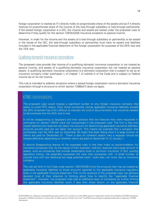foreign corporation is treated as if it directly holds its proportionate share of the assets and as if it directly receives its proportionate share of the income of the look-through subsidiary or look-through partnership. If the tested foreign corporation is a QIC, the income and assets are tested under the proposed rules to determine if they qualify for the section 1297(b)(2)(B) insurance exception to passive income.

However, in order for the income and the assets of a look-through subsidiary or partnership to be tested in the hands of the QIC, the look-through subsidiary or partnership must have its assets and liabilities included in the applicable financial statement of the foreign corporation for purposes of the 25% test and the 10% test.

#### <span id="page-18-0"></span>Qualifying domestic insurance corporations

The proposed rules provide that income of a qualifying domestic insurance corporation is not treated as passive income, and assets of a qualifying domestic insurance corporation are not treated as passive assets. A qualifying domestic insurance corporation is a domestic corporation that is subject to tax as an insurance company under subchapter L of chapter 1 of subtitle A of the Code and is subject to Federal income tax on its net income.

This rule is intended to address situations where a tested foreign corporation owns a domestic insurance corporation through a structure to which section 1298(b)(7) does not apply.

#### KPMG observations

The proposed rules would impose a significant burden on any foreign insurance company that seeks to avoid PFIC status. Even those companies whose applicable insurance liabilities exceed the 25% threshold may find it difficult to maintain the kind of documentation that would be needed to demonstrate that the 25% test is met.

It will be disappointing to taxpayers and their advisors that two features that were requested in comments on section 1297(f) were not incorporated in the proposed rules. The first is that only unpaid liabilities and reserves are taken into account for determining applicable insurance liabilities; amounts actually paid are not taken into account. This means for example that a company that comfortably met the 25% test on December 30 might find itself falling short if a large amount of claims are paid on December 31. There is also no coherent reason why a taxpayer should be treated differently depending on whether claims are paid on December 31 or January 1.

A second disappointing feature of the proposed rules is that they make no accommodation for insurance companies that, by the nature of their business, hold low reserves and a large amount of assets, such as companies that provide catastrophe cover or terrorism insurance. In fact, quoting legislative history, the preamble expresses the view that companies with "a small number of insured risks with low likelihood but large potential costs" looks less, not more, like an insurance company.

The rule set forth in the Code under section 1297(f)(3)(B) limits the amounts that may be treated as applicable insurance liabilities to those amounts reported to the applicable insurance regulatory body in the applicable financial statement. Prior to the issuance of the proposed rules, tax advisors devoted most of their attention to thinking about how to identify the "applicable financial statement". However, the proposed rules add an additional layer of complexity by further limiting the applicable insurance liabilities (even if less than those shown on the applicable financial

<sup>© 2019</sup> KPMG LLP, a Delaware limited liability partnership and the U.S. member firm of the KPMG network of independent member firms affiliated with KPMG International Cooperative ("KPMG International"), a Swiss entity. All rights reserved. Printed in the U.S.A. The KPMG name and logo are registered trademarks or trademarks of KPMG International.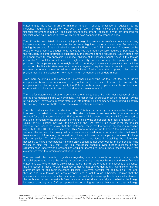statement) to the lesser of (1) the "minimum amount" required under law or regulation by the insurance regulator, and (2) the most recent U.S. GAAP or IFRS financial statement even if the financial statement is not an "applicable financial statement" because it was not prepared for financial reporting purposes (a term which is not even defined in the proposed rules).

The difficulties associated with establishing a foreign insurance company's status as a qualifying insurance corporation are exacerbated by certain ambiguities in the proposed rules. For example, limiting the amount of the applicable insurance liabilities to the "minimum amount" required by the regulator would seem to suggest that the cap is not the amount actually required or permitted by the regulator. This interpretation is supported by the preamble to the regulations, which states that it is appropriate to cap applicable insurance liabilities at the lesser amount "even if the foreign corporation's regulator would accept a higher liability amount for regulatory purposes." The proposed rules apparently give no weight at all to the foreign insurance company's actual liabilities shown on the financial statement even where a regulator requires the company to hold assets commensurate with those actual required liabilities. Furthermore, the proposed rules do not provide meaningful guidance on how the minimum amount should be determined.

Even more daunting are the obstacles to companies qualifying for the 10% test as a run-off company or because of rating-related circumstances. In the case of a run-off company, the company will not be permitted to apply the 10% test unless the company has a plan of liquidation or termination, which is not currently typical for companies in run-off.

The rule for determining whether a company is entitled to apply the 10% test because of ratingrelated circumstances is rife with ambiguity. The higher level of surplus must be "required" by the rating agency – however numerous factors go into determining a company's credit rating. Hopefully the final regulations will better define the minimum rating requirement.

The rules make clear that the election of the 10% test is made by the shareholder, based on information provided by the corporation. This election bears some resemblance to the process required for a U.S. shareholder of a PFIC to make a QEF election, where the PFIC is required to provide information to the shareholder sufficient to allow the shareholder to prepare its tax return. Unlike the QEF election, however, the election of the 10% test will be invalid if the shareholder knew or had reason to know that the statement made by the foreign corporation regarding eligibility for the 10% test was incorrect. This "knew or had reason to know" test perhaps makes sense in the context of a closely held company with a small number of shareholders that would have access to information, but would be difficult, or impossible, to apply in the case of widelyheld companies. The difficulties that shareholders have faced in obtaining the information necessary to make a comparatively simple QEF election do not bode well for the shareholder who wishes to elect the 10% test. The final regulations should provide further guidance on the circumstances under which a shareholder would be deemed to know or have reason to know that a statement from the foreign corporation is untrue.

The proposed rules provide no guidance regarding how a taxpayer is to identify the applicable financial statement where the foreign insurance company does not have a stand-alone financial statement, e.g., where there is only a consolidated financial statement. In the absence of guidance, the implication is that a foreign insurance company that cannot identify any stand-alone financial statement has no applicable insurance liabilities. However, because the application of the lookthrough rule to a foreign insurance company and a look-through subsidiary requires that the insurance company and the subsidiary be included within the same applicable financial statement, the implication is that the available financial statement will drive the analysis of whether the foreign insurance company is a QIC, as opposed to permitting taxpayers that seek to treat a foreign

<sup>© 2019</sup> KPMG LLP, a Delaware limited liability partnership and the U.S. member firm of the KPMG network of independent member firms affiliated with KPMG International Cooperative ("KPMG International"), a Swiss entity. All rights reserved. Printed in the U.S.A. The KPMG name and logo are registered trademarks or trademarks of KPMG International.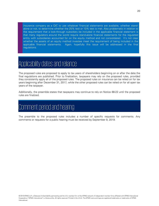insurance company as a QIC to use whatever financial statements are available, whether standalone or not, to determine whether the 25% test or 10% test is met. Also problematic in relation to the requirement that a look-through subsidiary be included in the applicable financial statement is that many regulators around the world require stand-alone financial statements for the regulated entity with subsidiaries accounted for on the equity method and not consolidated. It's not clear whether the assets of an equity method investee meet the requirement of being included in the applicable financial statements. Again, hopefully this issue will be addressed in the final regulations.

## <span id="page-20-0"></span>Applicability dates and reliance

The proposed rules are proposed to apply to tax years of shareholders beginning on or after the date the final regulations are published. Prior to finalization, taxpayers may rely on the proposed rules, provided they consistently apply all of the proposed rules. The proposed rules on insurance can be relied on for tax years beginning after December 31, 2017, while the other proposed rules can be relied on for all open tax years of the taxpayer.

Additionally, the preamble states that taxpayers may continue to rely on Notice 88-22 until the proposed rules are finalized.

# <span id="page-20-1"></span>Comment period and hearing

The preamble to the proposed rules includes a number of specific requests for comments. Any comments or requests for a public hearing must be received by September 9, 2019.